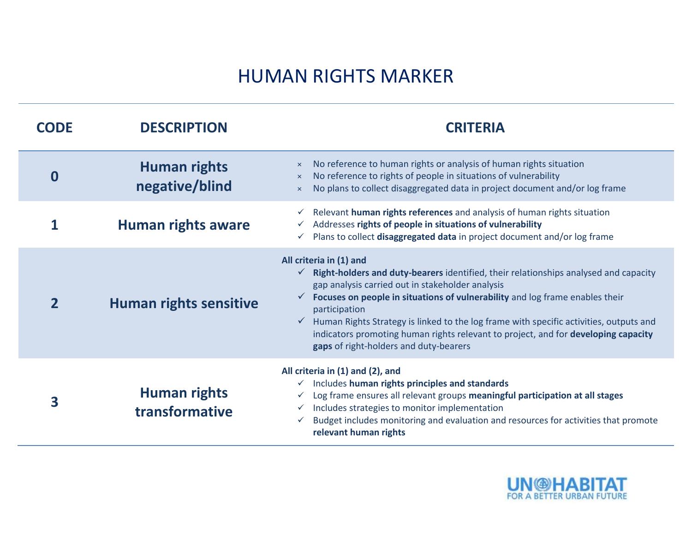## HUMAN RIGHTS MARKER

| <b>CODE</b>  | <b>DESCRIPTION</b>                    | <b>CRITERIA</b>                                                                                                                                                                                                                                                                                                                                                                                                                                                                                             |  |  |
|--------------|---------------------------------------|-------------------------------------------------------------------------------------------------------------------------------------------------------------------------------------------------------------------------------------------------------------------------------------------------------------------------------------------------------------------------------------------------------------------------------------------------------------------------------------------------------------|--|--|
| 0            | <b>Human rights</b><br>negative/blind | No reference to human rights or analysis of human rights situation<br>$\mathsf{x}$<br>No reference to rights of people in situations of vulnerability<br>$\boldsymbol{\times}$<br>No plans to collect disaggregated data in project document and/or log frame<br>$\times$                                                                                                                                                                                                                                   |  |  |
|              | <b>Human rights aware</b>             | Relevant human rights references and analysis of human rights situation<br>Addresses rights of people in situations of vulnerability<br>Plans to collect disaggregated data in project document and/or log frame                                                                                                                                                                                                                                                                                            |  |  |
| $\mathbf{2}$ | <b>Human rights sensitive</b>         | All criteria in (1) and<br>$\checkmark$ Right-holders and duty-bearers identified, their relationships analysed and capacity<br>gap analysis carried out in stakeholder analysis<br>Focuses on people in situations of vulnerability and log frame enables their<br>participation<br>Human Rights Strategy is linked to the log frame with specific activities, outputs and<br>indicators promoting human rights relevant to project, and for developing capacity<br>gaps of right-holders and duty-bearers |  |  |
| 3            | <b>Human rights</b><br>transformative | All criteria in (1) and (2), and<br>$\checkmark$ Includes human rights principles and standards<br>Log frame ensures all relevant groups meaningful participation at all stages<br>Includes strategies to monitor implementation<br>$\checkmark$<br>Budget includes monitoring and evaluation and resources for activities that promote<br>relevant human rights                                                                                                                                            |  |  |